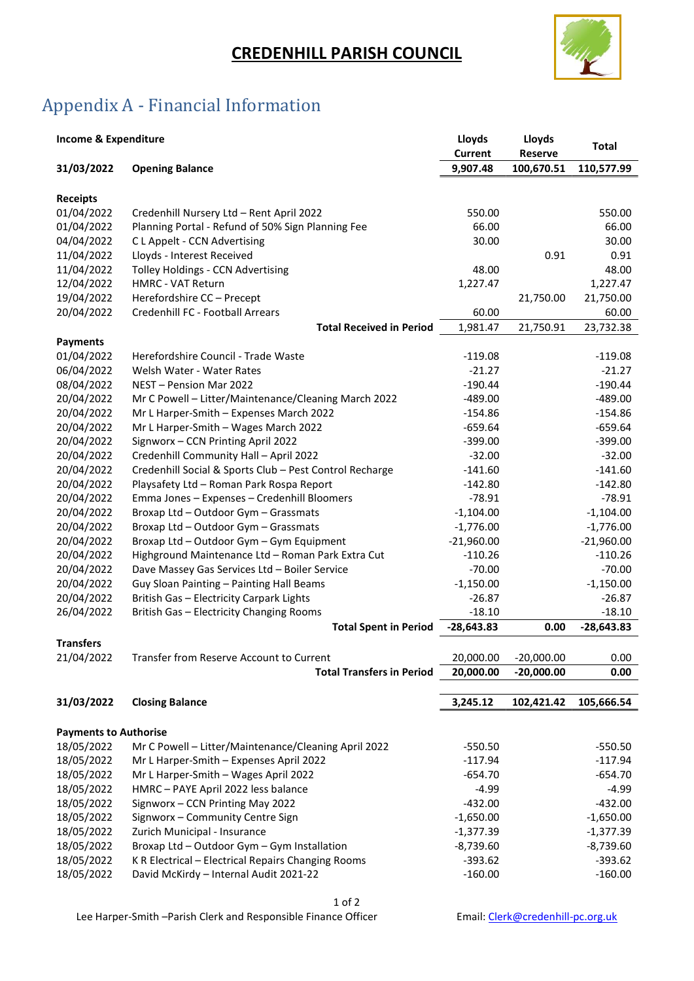## CREDENHILL PARISH COUNCIL



## Appendix A - Financial Information

| <b>Income &amp; Expenditure</b> |                                                         | Lloyds<br><b>Current</b> | Lloyds<br>Reserve | Total        |
|---------------------------------|---------------------------------------------------------|--------------------------|-------------------|--------------|
| 31/03/2022                      | <b>Opening Balance</b>                                  | 9,907.48                 | 100,670.51        | 110,577.99   |
|                                 |                                                         |                          |                   |              |
| <b>Receipts</b>                 |                                                         |                          |                   |              |
| 01/04/2022                      | Credenhill Nursery Ltd - Rent April 2022                | 550.00                   |                   | 550.00       |
| 01/04/2022                      | Planning Portal - Refund of 50% Sign Planning Fee       | 66.00                    |                   | 66.00        |
| 04/04/2022                      | C L Appelt - CCN Advertising                            | 30.00                    |                   | 30.00        |
| 11/04/2022                      | Lloyds - Interest Received                              |                          | 0.91              | 0.91         |
| 11/04/2022                      | Tolley Holdings - CCN Advertising                       | 48.00                    |                   | 48.00        |
| 12/04/2022                      | <b>HMRC - VAT Return</b>                                | 1,227.47                 |                   | 1,227.47     |
| 19/04/2022                      | Herefordshire CC - Precept                              |                          | 21,750.00         | 21,750.00    |
| 20/04/2022                      | Credenhill FC - Football Arrears                        | 60.00                    |                   | 60.00        |
|                                 | <b>Total Received in Period</b>                         | 1,981.47                 | 21,750.91         | 23,732.38    |
| <b>Payments</b>                 |                                                         |                          |                   |              |
| 01/04/2022                      | Herefordshire Council - Trade Waste                     | $-119.08$                |                   | $-119.08$    |
| 06/04/2022                      | Welsh Water - Water Rates                               | $-21.27$                 |                   | $-21.27$     |
| 08/04/2022                      | NEST - Pension Mar 2022                                 | $-190.44$                |                   | $-190.44$    |
| 20/04/2022                      | Mr C Powell - Litter/Maintenance/Cleaning March 2022    | $-489.00$                |                   | $-489.00$    |
| 20/04/2022                      | Mr L Harper-Smith - Expenses March 2022                 | $-154.86$                |                   | $-154.86$    |
| 20/04/2022                      | Mr L Harper-Smith - Wages March 2022                    | $-659.64$                |                   | $-659.64$    |
| 20/04/2022                      | Signworx - CCN Printing April 2022                      | $-399.00$                |                   | $-399.00$    |
| 20/04/2022                      | Credenhill Community Hall - April 2022                  | $-32.00$                 |                   | $-32.00$     |
| 20/04/2022                      | Credenhill Social & Sports Club - Pest Control Recharge | $-141.60$                |                   | $-141.60$    |
| 20/04/2022                      | Playsafety Ltd - Roman Park Rospa Report                | $-142.80$                |                   | $-142.80$    |
| 20/04/2022                      | Emma Jones - Expenses - Credenhill Bloomers             | $-78.91$                 |                   | $-78.91$     |
| 20/04/2022                      | Broxap Ltd - Outdoor Gym - Grassmats                    | $-1,104.00$              |                   | $-1,104.00$  |
| 20/04/2022                      | Broxap Ltd - Outdoor Gym - Grassmats                    | $-1,776.00$              |                   | $-1,776.00$  |
| 20/04/2022                      | Broxap Ltd - Outdoor Gym - Gym Equipment                | $-21,960.00$             |                   | $-21,960.00$ |
| 20/04/2022                      | Highground Maintenance Ltd - Roman Park Extra Cut       | $-110.26$                |                   | $-110.26$    |
| 20/04/2022                      | Dave Massey Gas Services Ltd - Boiler Service           | $-70.00$                 |                   | $-70.00$     |
| 20/04/2022                      | Guy Sloan Painting - Painting Hall Beams                | $-1,150.00$              |                   | $-1,150.00$  |
| 20/04/2022                      | British Gas - Electricity Carpark Lights                | $-26.87$                 |                   | $-26.87$     |
| 26/04/2022                      | British Gas - Electricity Changing Rooms                | $-18.10$                 |                   | $-18.10$     |
|                                 | <b>Total Spent in Period</b>                            | $-28,643.83$             | 0.00              | $-28,643.83$ |
| <b>Transfers</b>                |                                                         |                          |                   |              |
| 21/04/2022                      | Transfer from Reserve Account to Current                | 20,000.00                | $-20,000.00$      | 0.00         |
|                                 | <b>Total Transfers in Period</b>                        | 20,000.00                | $-20,000.00$      | 0.00         |
|                                 |                                                         |                          |                   |              |
| 31/03/2022                      | <b>Closing Balance</b>                                  | 3,245.12                 | 102,421.42        | 105,666.54   |
|                                 |                                                         |                          |                   |              |
| <b>Payments to Authorise</b>    |                                                         |                          |                   |              |
| 18/05/2022                      | Mr C Powell - Litter/Maintenance/Cleaning April 2022    | $-550.50$                |                   | $-550.50$    |
| 18/05/2022                      | Mr L Harper-Smith - Expenses April 2022                 | $-117.94$                |                   | $-117.94$    |
| 18/05/2022                      | Mr L Harper-Smith - Wages April 2022                    | $-654.70$                |                   | $-654.70$    |
| 18/05/2022                      | HMRC - PAYE April 2022 less balance                     | $-4.99$                  |                   | $-4.99$      |
| 18/05/2022                      | Signworx - CCN Printing May 2022                        | $-432.00$                |                   | $-432.00$    |
| 18/05/2022                      | Signworx - Community Centre Sign                        | $-1,650.00$              |                   | $-1,650.00$  |
| 18/05/2022                      | Zurich Municipal - Insurance                            | $-1,377.39$              |                   | $-1,377.39$  |
| 18/05/2022                      | Broxap Ltd - Outdoor Gym - Gym Installation             | $-8,739.60$              |                   | $-8,739.60$  |
| 18/05/2022                      | K R Electrical - Electrical Repairs Changing Rooms      | $-393.62$                |                   | $-393.62$    |
| 18/05/2022                      | David McKirdy - Internal Audit 2021-22                  | $-160.00$                |                   | $-160.00$    |

1 of 2 Lee Harper-Smith -Parish Clerk and Responsible Finance Officer Email: Clerk@credenhill-pc.org.uk